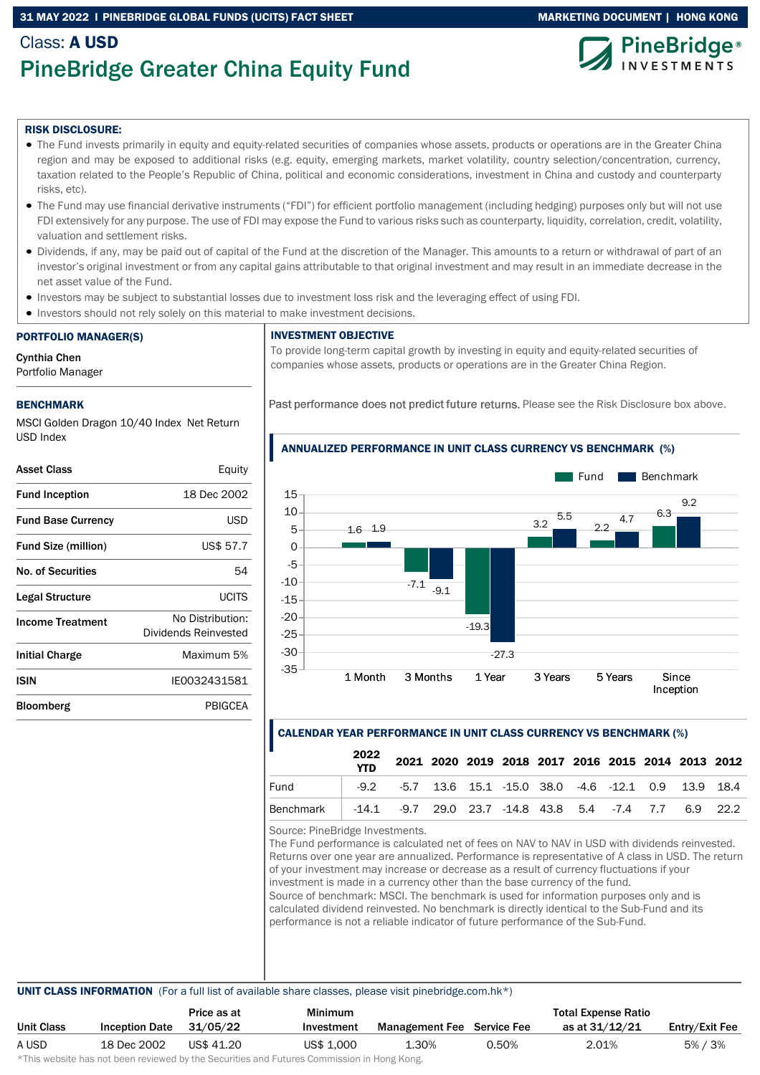# 31 MAY 2022 I PINEBRIDGE GLOBAL FUNDS (UCITS) FACT SHEET MARKETING DOCUMENT | HONG KONG

# Class: A USD PineBridge Greater China Equity Fund





#### RISK DISCLOSURE:

- The Fund invests primarily in equity and equity-related securities of companies whose assets, products or operations are in the Greater China region and may be exposed to additional risks (e.g. equity, emerging markets, market volatility, country selection/concentration, currency, taxation related to the People's Republic of China, political and economic considerations, investment in China and custody and counterparty risks, etc).
- The Fund may use financial derivative instruments ("FDI") for efficient portfolio management (including hedging) purposes only but will not use FDI extensively for any purpose. The use of FDI may expose the Fund to various risks such as counterparty, liquidity, correlation, credit, volatility, valuation and settlement risks.
- Dividends, if any, may be paid out of capital of the Fund at the discretion of the Manager. This amounts to a return or withdrawal of part of an investor's original investment or from any capital gains attributable to that original investment and may result in an immediate decrease in the net asset value of the Fund.
- Investors may be subject to substantial losses due to investment loss risk and the leveraging effect of using FDI.
- Investors should not rely solely on this material to make investment decisions.

#### PORTFOLIO MANAGER(S)

Cynthia Chen

Portfolio Manager

### BENCHMARK

MSCI Golden Dragon 10/40 Index Net Return USD Index

| <b>Asset Class</b>         | Equity                                   |
|----------------------------|------------------------------------------|
| <b>Fund Inception</b>      | 18 Dec 2002                              |
| <b>Fund Base Currency</b>  | USD                                      |
| <b>Fund Size (million)</b> | US\$ 57.7                                |
| No. of Securities          | 54                                       |
| Legal Structure            | UCITS                                    |
| <b>Income Treatment</b>    | No Distribution:<br>Dividends Reinvested |
| <b>Initial Charge</b>      | Maximum 5%                               |
| <b>ISIN</b>                | IE0032431581                             |
| Bloomberg                  | PBIGCEA                                  |

### INVESTMENT OBJECTIVE

To provide long-term capital growth by investing in equity and equity-related securities of companies whose assets, products or operations are in the Greater China Region.

ANNUALIZED PERFORMANCE IN UNIT CLASS CURRENCY VS BENCHMARK (%)

Past performance does not predict future returns. Please see the Risk Disclosure box above.

#### 1.6 1.9  $-7.1$ -19.3  $3.2 \frac{5.5}{2}$  22 6.3  $-9.1$ -27.3 5.5 4.7 9.2 -35 -30 -25 -20 -15  $-10$ -5  $\Omega$ 5 10 15 1 Month 3 Months 1 Year 3 Years 5 Years Since Inception Fund **Benchmark**

# CALENDAR YEAR PERFORMANCE IN UNIT CLASS CURRENCY VS BENCHMARK (%)

|           | 2022<br><b>YTD</b> |                                                                   |  | 2021 2020 2019 2018 2017 2016 2015 2014 2013 2012 |  |  |  |
|-----------|--------------------|-------------------------------------------------------------------|--|---------------------------------------------------|--|--|--|
| Fund      |                    | $-9.2$ $-5.7$ 13.6 15.1 $-15.0$ 38.0 $-4.6$ $-12.1$ 0.9 13.9 18.4 |  |                                                   |  |  |  |
| Benchmark |                    | $-14.1$ $-9.7$ 29.0 23.7 $-14.8$ 43.8 5.4 $-7.4$ 7.7 6.9 22.2     |  |                                                   |  |  |  |

Source: PineBridge Investments.

The Fund performance is calculated net of fees on NAV to NAV in USD with dividends reinvested. Returns over one year are annualized. Performance is representative of A class in USD. The return of your investment may increase or decrease as a result of currency fluctuations if your investment is made in a currency other than the base currency of the fund. Source of benchmark: MSCI. The benchmark is used for information purposes only and is

calculated dividend reinvested. No benchmark is directly identical to the Sub-Fund and its performance is not a reliable indicator of future performance of the Sub-Fund.

#### UNIT CLASS INFORMATION (For a full list of available share classes, please visit pinebridge.com.hk\*)

|            |                       | Price as at | <b>Minimum</b> |                                   |       | <b>Total Expense Ratio</b> |                |
|------------|-----------------------|-------------|----------------|-----------------------------------|-------|----------------------------|----------------|
| Unit Class | <b>Inception Date</b> | 31/05/22    | Investment     | <b>Management Fee</b> Service Fee |       | as at 31/12/21             | Entry/Exit Fee |
| A USD      | 18 Dec 2002           | US\$ 41.20  | US\$ 1,000     | 1.30%                             | 0.50% | 2.01%                      | 5% / 3%        |
|            |                       |             |                |                                   |       |                            |                |

\*This website has not been reviewed by the Securities and Futures Commission in Hong Kong.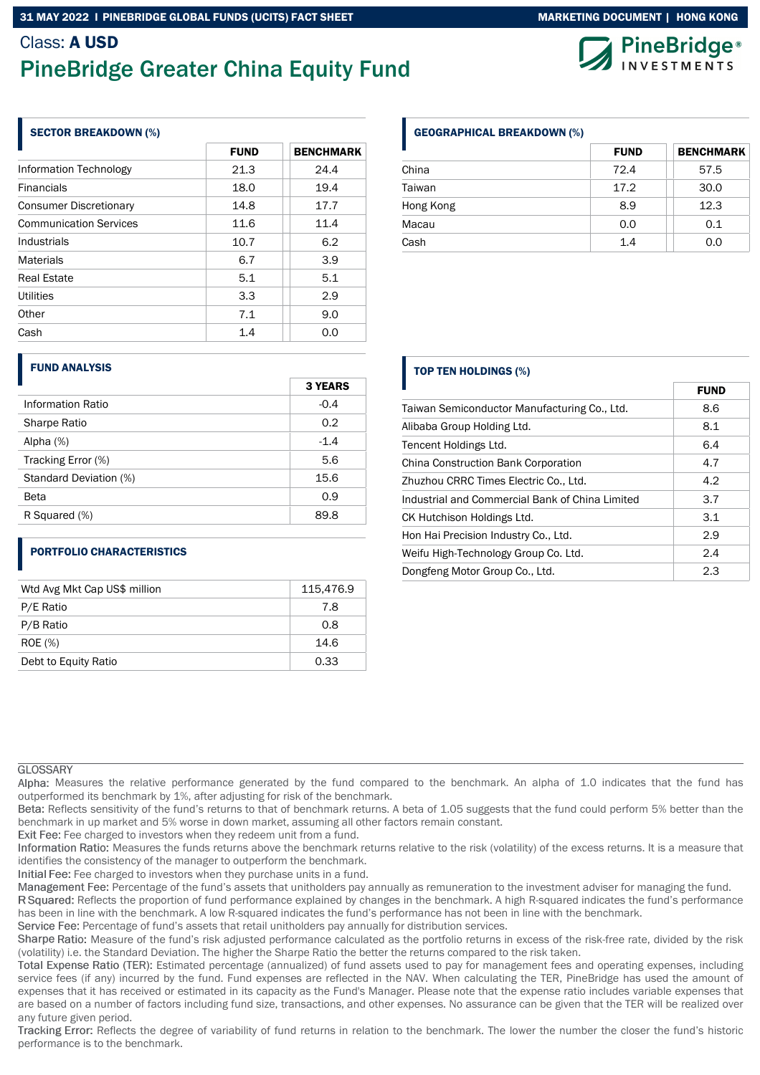# Class: A USD PineBridge Greater China Equity Fund

# SECTOR BREAKDOWN (%)

|                               | <b>FUND</b> | <b>BENCHMARK</b> |
|-------------------------------|-------------|------------------|
| Information Technology        | 21.3        | 24.4             |
| <b>Financials</b>             | 18.0        | 19.4             |
| <b>Consumer Discretionary</b> | 14.8        | 17.7             |
| <b>Communication Services</b> | 11.6        | 11.4             |
| Industrials                   | 10.7        | 6.2              |
| <b>Materials</b>              | 6.7         | 3.9              |
| <b>Real Estate</b>            | 5.1         | 5.1              |
| <b>Utilities</b>              | 3.3         | 2.9              |
| Other                         | 7.1         | 9.0              |
| Cash                          | 1.4         | 0.0              |

### GEOGRAPHICAL BREAKDOWN (%)

|           | <b>FUND</b> | <b>BENCHMARK</b> |
|-----------|-------------|------------------|
| China     | 72.4        | 57.5             |
| Taiwan    | 17.2        | 30.0             |
| Hong Kong | 8.9         | 12.3             |
| Macau     | 0.0         | 0.1              |
| Cash      | 1.4         | 0.0              |

# FUND ANALYSIS

|                        | <b>3 YEARS</b> |
|------------------------|----------------|
| Information Ratio      | $-0.4$         |
| Sharpe Ratio           | 0.2            |
| Alpha (%)              | $-1.4$         |
| Tracking Error (%)     | 5.6            |
| Standard Deviation (%) | 15.6           |
| Beta                   | 0.9            |
| R Squared (%)          | 89.8           |

# PORTFOLIO CHARACTERISTICS

| Wtd Avg Mkt Cap US\$ million | 115,476.9 |
|------------------------------|-----------|
| P/E Ratio                    | 7.8       |
| P/B Ratio                    | 0.8       |
| <b>ROE</b> (%)               | 14.6      |
| Debt to Equity Ratio         | 0.33      |

# TOP TEN HOLDINGS (%)

|                                                 | <b>FUND</b> |
|-------------------------------------------------|-------------|
| Taiwan Semiconductor Manufacturing Co., Ltd.    | 8.6         |
| Alibaba Group Holding Ltd.                      | 8.1         |
| Tencent Holdings Ltd.                           | 6.4         |
| China Construction Bank Corporation             | 4.7         |
| Zhuzhou CRRC Times Electric Co., Ltd.           | 4.2         |
| Industrial and Commercial Bank of China Limited | 3.7         |
| CK Hutchison Holdings Ltd.                      | 3.1         |
| Hon Hai Precision Industry Co., Ltd.            | 2.9         |
| Weifu High-Technology Group Co. Ltd.            | 2.4         |
| Dongfeng Motor Group Co., Ltd.                  | 2.3         |

# **GLOSSARY**

Alpha: Measures the relative performance generated by the fund compared to the benchmark. An alpha of 1.0 indicates that the fund has outperformed its benchmark by 1%, after adjusting for risk of the benchmark.

Beta: Reflects sensitivity of the fund's returns to that of benchmark returns. A beta of 1.05 suggests that the fund could perform 5% better than the benchmark in up market and 5% worse in down market, assuming all other factors remain constant.

Exit Fee: Fee charged to investors when they redeem unit from a fund.

Information Ratio: Measures the funds returns above the benchmark returns relative to the risk (volatility) of the excess returns. It is a measure that identifies the consistency of the manager to outperform the benchmark.

Initial Fee: Fee charged to investors when they purchase units in a fund.

Management Fee: Percentage of the fund's assets that unitholders pay annually as remuneration to the investment adviser for managing the fund.

R Squared: Reflects the proportion of fund performance explained by changes in the benchmark. A high R-squared indicates the fund's performance has been in line with the benchmark. A low R-squared indicates the fund's performance has not been in line with the benchmark.

Service Fee: Percentage of fund's assets that retail unitholders pay annually for distribution services.

Sharpe Ratio: Measure of the fund's risk adjusted performance calculated as the portfolio returns in excess of the risk-free rate, divided by the risk (volatility) i.e. the Standard Deviation. The higher the Sharpe Ratio the better the returns compared to the risk taken.

Total Expense Ratio (TER): Estimated percentage (annualized) of fund assets used to pay for management fees and operating expenses, including service fees (if any) incurred by the fund. Fund expenses are reflected in the NAV. When calculating the TER, PineBridge has used the amount of expenses that it has received or estimated in its capacity as the Fund's Manager. Please note that the expense ratio includes variable expenses that are based on a number of factors including fund size, transactions, and other expenses. No assurance can be given that the TER will be realized over any future given period.

Tracking Error: Reflects the degree of variability of fund returns in relation to the benchmark. The lower the number the closer the fund's historic performance is to the benchmark.





FUND